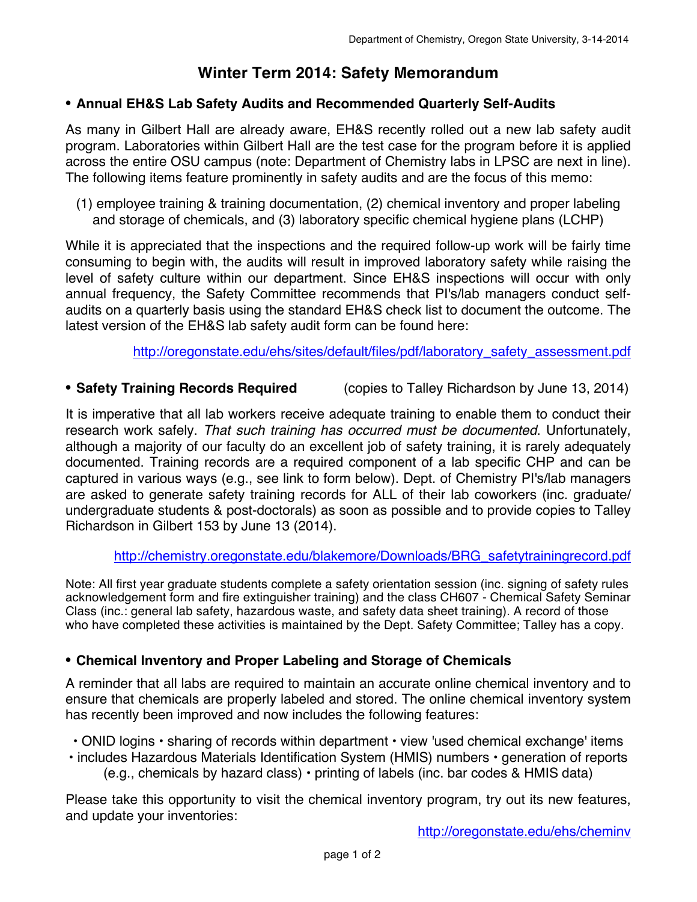# **Winter Term 2014: Safety Memorandum**

### **• Annual EH&S Lab Safety Audits and Recommended Quarterly Self-Audits**

As many in Gilbert Hall are already aware, EH&S recently rolled out a new lab safety audit program. Laboratories within Gilbert Hall are the test case for the program before it is applied across the entire OSU campus (note: Department of Chemistry labs in LPSC are next in line). The following items feature prominently in safety audits and are the focus of this memo:

(1) employee training & training documentation, (2) chemical inventory and proper labeling and storage of chemicals, and (3) laboratory specific chemical hygiene plans (LCHP)

While it is appreciated that the inspections and the required follow-up work will be fairly time consuming to begin with, the audits will result in improved laboratory safety while raising the level of safety culture within our department. Since EH&S inspections will occur with only annual frequency, the Safety Committee recommends that PI's/lab managers conduct selfaudits on a quarterly basis using the standard EH&S check list to document the outcome. The latest version of the EH&S lab safety audit form can be found here:

http://oregonstate.edu/ehs/sites/default/files/pdf/laboratory\_safety\_assessment.pdf

**• Safety Training Records Required** (copies to Talley Richardson by June 13, 2014)

It is imperative that all lab workers receive adequate training to enable them to conduct their research work safely. *That such training has occurred must be documented*. Unfortunately, although a majority of our faculty do an excellent job of safety training, it is rarely adequately documented. Training records are a required component of a lab specific CHP and can be captured in various ways (e.g., see link to form below). Dept. of Chemistry PI's/lab managers are asked to generate safety training records for ALL of their lab coworkers (inc. graduate/ undergraduate students & post-doctorals) as soon as possible and to provide copies to Talley Richardson in Gilbert 153 by June 13 (2014).

### http://chemistry.oregonstate.edu/blakemore/Downloads/BRG\_safetytrainingrecord.pdf

Note: All first year graduate students complete a safety orientation session (inc. signing of safety rules acknowledgement form and fire extinguisher training) and the class CH607 - Chemical Safety Seminar Class (inc.: general lab safety, hazardous waste, and safety data sheet training). A record of those who have completed these activities is maintained by the Dept. Safety Committee; Talley has a copy.

### **• Chemical Inventory and Proper Labeling and Storage of Chemicals**

A reminder that all labs are required to maintain an accurate online chemical inventory and to ensure that chemicals are properly labeled and stored. The online chemical inventory system has recently been improved and now includes the following features:

- ONID logins sharing of records within department view 'used chemical exchange' items
- includes Hazardous Materials Identification System (HMIS) numbers generation of reports (e.g., chemicals by hazard class)  $\cdot$  printing of labels (inc. bar codes & HMIS data)

Please take this opportunity to visit the chemical inventory program, try out its new features, and update your inventories: